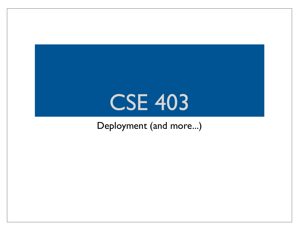#### CSE 403

#### Deployment (and more...)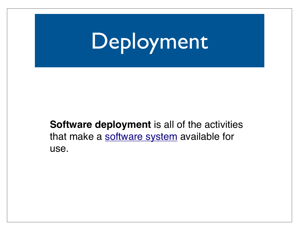## Deployment

**Software deployment** is all of the activities that make a software system available for use.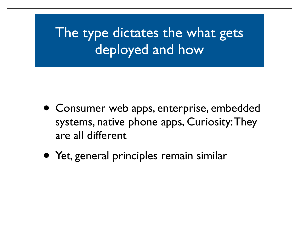The type dictates the what gets deployed and how

- Consumer web apps, enterprise, embedded systems, native phone apps, Curiosity: They are all different
- Yet, general principles remain similar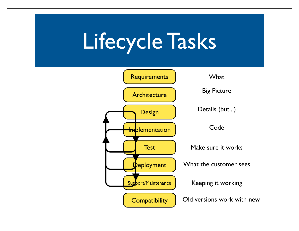### Lifecycle Tasks

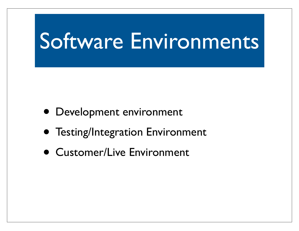### Software Environments

- Development environment
- Testing/Integration Environment
- Customer/Live Environment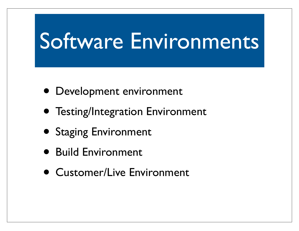### Software Environments

- Development environment
- Testing/Integration Environment
- Staging Environment
- Build Environment
- Customer/Live Environment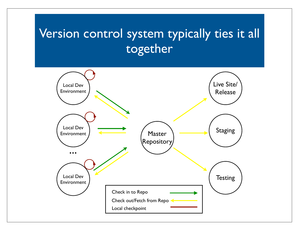#### Version control system typically ties it all together

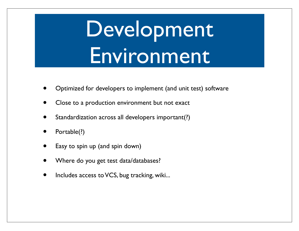## Development Environment

- Optimized for developers to implement (and unit test) software
- Close to a production environment but not exact
- Standardization across all developers important(?)
- Portable(?)
- Easy to spin up (and spin down)
- Where do you get test data/databases?
- Includes access to VCS, bug tracking, wiki...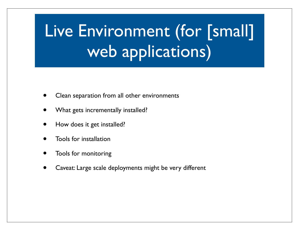#### Live Environment (for [small] web applications)

- Clean separation from all other environments
- What gets incrementally installed?
- How does it get installed?
- Tools for installation
- Tools for monitoring
- Caveat: Large scale deployments might be very different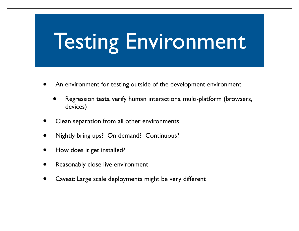### Testing Environment

- An environment for testing outside of the development environment
	- Regression tests, verify human interactions, multi-platform (browsers, devices)
- Clean separation from all other environments
- Nightly bring ups? On demand? Continuous?
- How does it get installed?
- Reasonably close live environment
- Caveat: Large scale deployments might be very different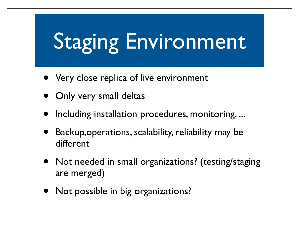# Staging Environment

- Very close replica of live environment
- **Only very small deltas**
- Including installation procedures, monitoring, ...
- Backup, operations, scalability, reliability may be different
- Not needed in small organizations? (testing/staging are merged)
- Not possible in big organizations?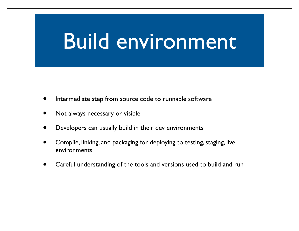#### Build environment

- Intermediate step from source code to runnable software
- Not always necessary or visible
- Developers can usually build in their dev environments
- Compile, linking, and packaging for deploying to testing, staging, live environments
- Careful understanding of the tools and versions used to build and run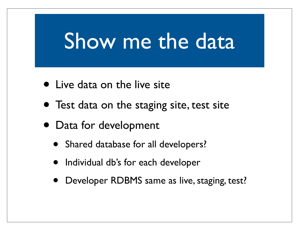#### Show me the data

- Live data on the live site
- Test data on the staging site, test site
- Data for development
	- Shared database for all developers?
	- Individual db's for each developer
	- Developer RDBMS same as live, staging, test?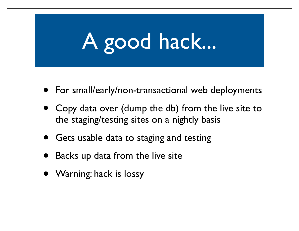# A good hack...

- For small/early/non-transactional web deployments
- Copy data over (dump the db) from the live site to the staging/testing sites on a nightly basis
- Gets usable data to staging and testing
- Backs up data from the live site
- Warning: hack is lossy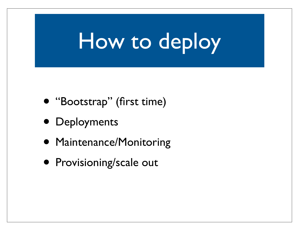## How to deploy

- "Bootstrap" (first time)
- Deployments
- Maintenance/Monitoring
- Provisioning/scale out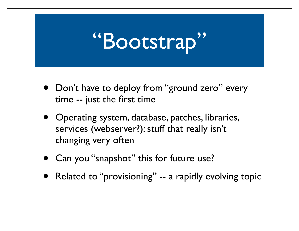### "Bootstrap"

- Don't have to deploy from "ground zero" every time -- just the first time
- Operating system, database, patches, libraries, services (webserver?): stuff that really isn't changing very often
- Can you "snapshot" this for future use?
- Related to "provisioning" -- a rapidly evolving topic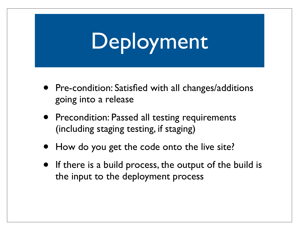# Deployment

- Pre-condition: Satisfied with all changes/additions going into a release
- Precondition: Passed all testing requirements (including staging testing, if staging)
- How do you get the code onto the live site?
- If there is a build process, the output of the build is the input to the deployment process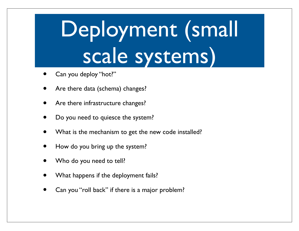# Deployment (small scale systems)

- Can you deploy "hot?"
- Are there data (schema) changes?
- Are there infrastructure changes?
- Do you need to quiesce the system?
- What is the mechanism to get the new code installed?
- How do you bring up the system?
- Who do you need to tell?
- What happens if the deployment fails?
- Can you "roll back" if there is a major problem?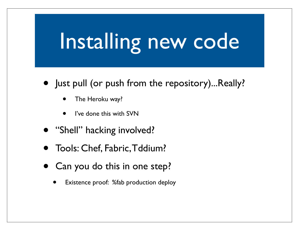## Installing new code

- Just pull (or push from the repository)...Really?
	- The Heroku way?
	- I've done this with SVN
- "Shell" hacking involved?
- Tools: Chef, Fabric, Tddium?
- Can you do this in one step?
	- Existence proof: %fab production deploy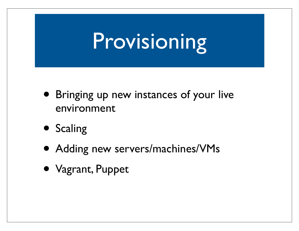### Provisioning

- Bringing up new instances of your live environment
- Scaling
- Adding new servers/machines/VMs
- Vagrant, Puppet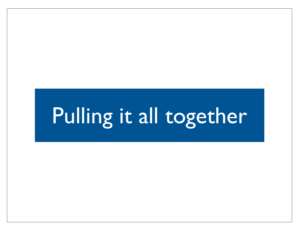### Pulling it all together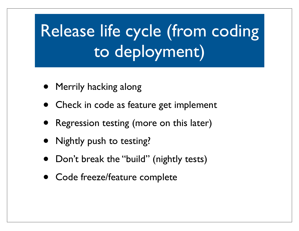- Merrily hacking along
- Check in code as feature get implement
- Regression testing (more on this later)
- Nightly push to testing?
- Don't break the "build" (nightly tests)
- Code freeze/feature complete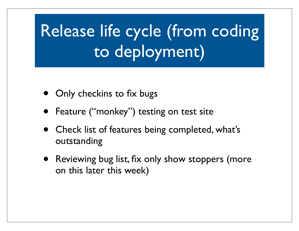- Only checkins to fix bugs
- Feature ("monkey") testing on test site
- Check list of features being completed, what's outstanding
- Reviewing bug list, fix only show stoppers (more on this later this week)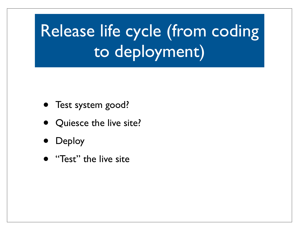- Test system good?
- Quiesce the live site?
- **Deploy**
- "Test" the live site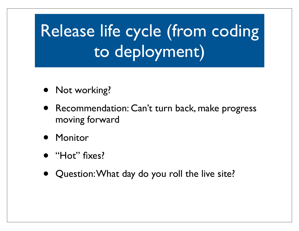- Not working?
- Recommendation: Can't turn back, make progress moving forward
- **Monitor**
- "Hot" fixes?
- Question: What day do you roll the live site?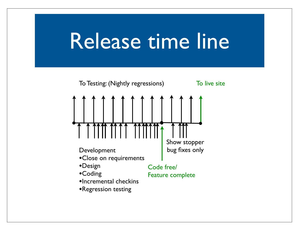#### Release time line

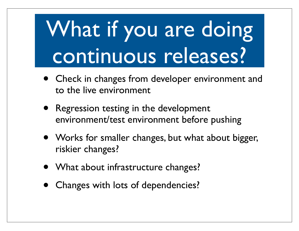# What if you are doing continuous releases?

- Check in changes from developer environment and to the live environment
- Regression testing in the development environment/test environment before pushing
- Works for smaller changes, but what about bigger, riskier changes?
- What about infrastructure changes?
- Changes with lots of dependencies?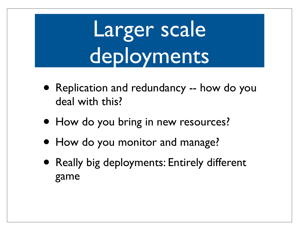# Larger scale deployments

- Replication and redundancy -- how do you deal with this?
- How do you bring in new resources?
- How do you monitor and manage?
- Really big deployments: Entirely different game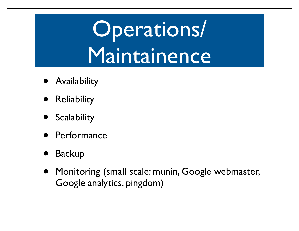## Operations/ Maintainence

- Availability
- Reliability
- Scalability
- Performance
- **Backup**
- Monitoring (small scale: munin, Google webmaster, Google analytics, pingdom)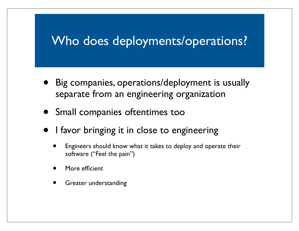#### Who does deployments/operations?

- Big companies, operations/deployment is usually separate from an engineering organization
- Small companies oftentimes too
- I favor bringing it in close to engineering
	- Engineers should know what it takes to deploy and operate their software ("Feel the pain")
	- More efficient
	- Greater understanding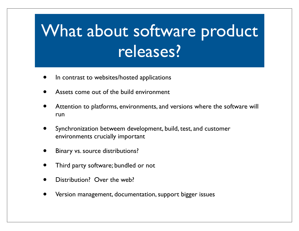#### What about software product releases?

- In contrast to websites/hosted applications
- Assets come out of the build environment
- Attention to platforms, environments, and versions where the software will run
- Synchronization betweem development, build, test, and customer environments crucially important
- Binary vs. source distributions?
- Third party software; bundled or not
- Distribution<sup>?</sup> Over the web?
- Version management, documentation, support bigger issues